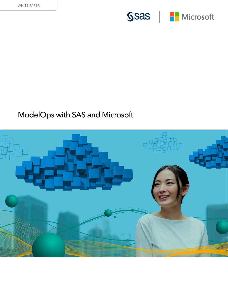

# SSas | <mark>H</mark> Microsoft

## ModelOps with SAS and Microsoft

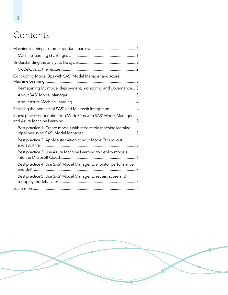## **Contents**

| Conducting ModelOps with SAS® Model Manager and Azure            |  |
|------------------------------------------------------------------|--|
| Reimagining ML model deployment, monitoring and governance 3     |  |
|                                                                  |  |
|                                                                  |  |
| Realizing the benefits of SAS® and Microsoft integration 4       |  |
| 5 best practices for optimizing ModelOps with SAS® Model Manager |  |
| Best practice 1: Create models with repeatable machine learning  |  |
| Best practice 2: Apply automation to your ModelOps rollout       |  |
| Best practice 3: Use Azure Machine Learning to deploy models     |  |
| Best practice 4: Use SAS® Model Manager to monitor performance   |  |
| Best practice 5: Use SAS® Model Manager to retrain, score and    |  |
|                                                                  |  |

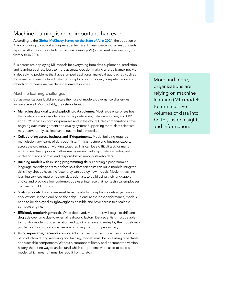### <span id="page-2-0"></span>Machine learning is more important than ever

According to the [Global McKinsey Survey on the State of AI in 2021](https://www.mckinsey.com/business-functions/mckinsey-analytics/our-insights/global-survey-the-state-of-ai-in-2021), the adoption of AI is continuing to grow at an unprecedented rate. Fifty-six percent of all respondents reported AI adoption – including machine learning (ML) – in at least one function, up from 50% in 2020.

Businesses are deploying ML models for everything from data exploration, prediction and learning business logic to more accurate decision making and policymaking. ML is also solving problems that have stumped traditional analytical approaches, such as those involving unstructured data from graphics, sound, video, computer vision and other high-dimensional, machine-generated sources.

#### Machine learning challenges

But as organizations build and scale their use of models, governance challenges increase as well. Most notably, they struggle with:

- Managing data quality and exploding data volumes. Most large enterprises host their data in a mix of modern and legacy databases, data warehouses, and ERP and CRM services – both on-premises and in the cloud. Unless organizations have ongoing data management and quality systems supporting them, data scientists may inadvertently use inaccurate data to build models.
- Collaborating across business and IT departments. Model building requires multidisciplinary teams of data scientists, IT infrastructure and business experts across the organization working together. This can be a difficult task for many enterprises due to poor workflow management, skill gaps between roles, and unclear divisions of roles and responsibilities among stakeholders.
- Building models with existing programming skills. Learning a programming language can take years to perfect, so if data scientists can build models using the skills they already have, the faster they can deploy new models. Modern machine learning services must empower data scientists to build using their language of choice and provide a low-code/no-code user interface that nontechnical employees can use to build models.
- Scaling models. Enterprises must have the ability to deploy models anywhere in applications, in the cloud or on the edge. To ensure the best performance, models need to be deployed as lightweight as possible and have access to a scalable compute engine.
- Efficiently monitoring models. Once deployed, ML models will begin to drift and degrade over time due to external real-world factors. Data scientists must be able to monitor models for degradation and quickly retrain and redeploy the models into production to ensure companies are returning maximum productivity.
- Using repeatable, traceable components. To minimize the time a given model is out of production during rescoring and training, models must be built using repeatable and traceable components. Without a component library and documented version history, there's no way to understand which components were used to build a model, which means it must be rebuilt from scratch.

More and more, organizations are relying on machine learning (ML) models to turn massive volumes of data into better, faster insights and information.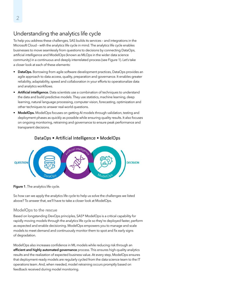## <span id="page-3-0"></span>Understanding the analytics life cycle

To help you address these challenges, SAS builds its services – and integrations in the Microsoft Cloud – with the analytics life cycle in mind. The analytics life cycle enables businesses to move seamlessly from questions to decisions by connecting DataOps, artificial intelligence and ModelOps (known as MLOps in the wider data science community) in a continuous and deeply interrelated process (see Figure 1). Let's take a closer look at each of these elements:

- DataOps. Borrowing from agile software development practices, DataOps provides an agile approach to data access, quality, preparation and governance. It enables greater reliability, adaptability, speed and collaboration in your efforts to operationalize data and analytics workflows.
- Artificial intelligence. Data scientists use a combination of techniques to understand the data and build predictive models. They use statistics, machine learning, deep learning, natural language processing, computer vision, forecasting, optimization and other techniques to answer real-world questions.
- ModelOps. ModelOps focuses on getting AI models through validation, testing and deployment phases as quickly as possible while ensuring quality results. It also focuses on ongoing monitoring, retraining and governance to ensure peak performance and transparent decisions.



#### DataOps • Artificial Intelligence • ModelOps

#### Figure 1. The analytics life cycle.

So how can we apply the analytics life cycle to help us solve the challenges we listed above? To answer that, we'll have to take a closer look at ModelOps.

#### ModelOps to the rescue

Based on longstanding DevOps principles, SAS® ModelOps is a critical capability for rapidly moving models through the analytics life cycle so they're deployed faster, perform as expected and enable decisioning. ModelOps empowers you to manage and scale models to meet demand and continuously monitor them to spot and fix early signs of degradation.

ModelOps also increases confidence in ML models while reducing risk through an efficient and highly automated governance process. This ensures high-quality analytics results and the realization of expected business value. At every step, ModelOps ensures that deployment-ready models are regularly cycled from the data science team to the IT operations team. And, when needed, model retraining occurs promptly based on feedback received during model monitoring.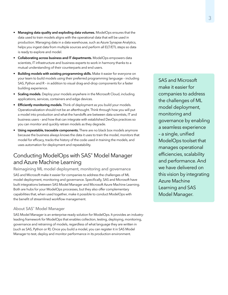- <span id="page-4-0"></span>• Managing data quality and exploding data volumes. ModelOps ensures that the data used to train models aligns with the operational data that will be used in production. Managing data in a data warehouse, such as Azure Synapse Analytics, helps you ingest data from multiple sources and perform all ELT/ETL steps so data is ready to explore and model.
- **Collaborating across business and IT departments.** ModelOps empowers data scientists, IT infrastructure and business experts to work in harmony thanks to a mutual understanding of their counterparts and end users.
- Building models with existing programming skills. Make it easier for everyone on your team to build models using their preferred programming language – including SAS, Python and R – in addition to visual drag-and-drop components for a faster building experience.
- Scaling models. Deploy your models anywhere in the Microsoft Cloud, including applications, services, containers and edge devices.
- **Efficiently monitoring models.** Think of deployment as you build your models. Operationalization should not be an afterthought. Think through how you will put a model into production and what the handoffs are between data scientists, IT and business users – and how that can integrate with established DevOps practices so you can monitor and quickly retrain models as they degrade.
- Using repeatable, traceable components. There are no black box models anymore because the business always knows the data it uses to train the model, monitors that model for efficacy, tracks the history of the code used in training the models, and uses automation for deployment and repeatability.

## Conducting ModelOps with SAS® Model Manager and Azure Machine Learning

Reimagining ML model deployment, monitoring and governance SAS and Microsoft make it easier for companies to address the challenges of ML model deployment, monitoring and governance. Specifically, SAS and Microsoft have built integrations between SAS Model Manager and Microsoft Azure Machine Learning. Both are hubs for your ModelOps processes, but they also offer complementary capabilities that, when used together, make it possible to conduct ModelOps with the benefit of streamlined workflow management.

#### About SAS® Model Manager

SAS Model Manager is an enterprise-ready solution for ModelOps. It provides an industryleading framework for ModelOps that enables collection, testing, deploying, monitoring, governance and retraining of models, regardless of what language they are written in (such as SAS, Python or R). Once you build a model, you can register it in SAS Model Manager to test, deploy and monitor performance in its production environment.

SAS and Microsoft make it easier for companies to address the challenges of ML model deployment, monitoring and governance by enabling a seamless experience – a single, unified ModelOps toolset that manages operational efficiencies, scalability and performance. And we have delivered on this vision by integrating Azure Machine Learning and SAS Model Manager.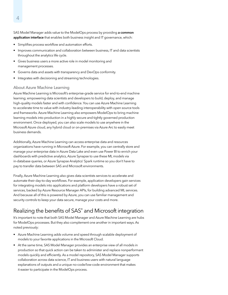<span id="page-5-0"></span>SAS Model Manager adds value to the ModelOps process by providing a common application interface that enables both business insight and IT governance, which:

- Simplifies process workflow and automation efforts.
- Improves communication and collaboration between business, IT and data scientists throughout the analytics life cycle.
- Gives business users a more active role in model monitoring and management processes.
- Governs data and assets with transparency and DevOps conformity.
- Integrates with decisioning and streaming technologies.

#### About Azure Machine Learning

Azure Machine Learning is Microsoft's enterprise-grade service for end-to-end machine learning; empowering data scientists and developers to build, deploy, and manage high-quality models faster and with confidence. You can use Azure Machine Learning to accelerate time to value with industry-leading interoperability with open source tools and frameworks. Azure Machine Learning also empowers ModelOps to bring machine learning models into production in a highly secure and tightly governed production environment. Once deployed, you can also scale models to use anywhere in the Microsoft Azure cloud, any hybrid cloud or on-premises via Azure Arc to easily meet business demands.

Additionally, Azure Machine Learning can access enterprise data and resources organizations have running in Microsoft Azure. For example, you can centrally store and manage your enterprise data in Azure Data Lake and even use Power BI to enrich your dashboards with predictive analytics, Azure Synapse to use these ML models via in-database queries, or Azure Synapse Analytics' Spark runtime so you don't have to pay to transfer data between SAS and Microsoft environments.

Finally, Azure Machine Learning also gives data scientists services to accelerate and automate their day-to-day workflows. For example, application developers gain services for integrating models into applications and platform developers have a robust set of services, backed by Azure Resource Manager APIs, for building advanced ML services. And because all of this is powered by Azure, you can use familiar management and security controls to keep your data secure, manage your costs and more.

## Realizing the benefits of SAS® and Microsoft integration

It's important to note that both SAS Model Manager and Azure Machine Learning are hubs for ModelOps processes. But they also complement one another in important ways. As noted previously:

- Azure Machine Learning adds volume and speed through scalable deployment of models to your favorite applications in the Microsoft Cloud.
- At the same time, SAS Model Manager provides an enterprise view of all models in production so that quick action can be taken to administer and replace nonperformant models quickly and efficiently. As a model repository, SAS Model Manager supports collaboration across data science, IT and business users with natural language explanations of outputs and a unique no-code/low-code environment that makes it easier to participate in the ModelOps process.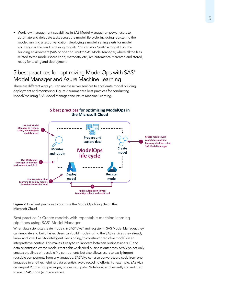<span id="page-6-0"></span>• Workflow management capabilities in SAS Model Manager empower users to automate and delegate tasks across the model life cycle, including registering the model, running a test or validation, deploying a model, setting alerts for model accuracy declines and retraining models. You can also "push" a model from the building environment (SAS or open source) to SAS Model Manager, where all the files related to the model (score code, metadata, etc.) are automatically created and stored, ready for testing and deployment.

## 5 best practices for optimizing ModelOps with SAS® Model Manager and Azure Machine Learning

There are different ways you can use these two services to accelerate model building, deployment and monitoring. Figure 2 summarizes best practices for conducting ModelOps using SAS Model Manager and Azure Machine Learning.



**Figure 2**. Five best practices to optimize the ModelOps life cycle on the Microsoft Cloud.

Best practice 1: Create models with repeatable machine learning pipelines using SAS® Model Manager

When data scientists create models in SAS® Viya® and register in SAS Model Manager, they can innovate and build faster. Users can build models using the SAS services they already know and love, like SAS Intelligent Decisioning, to construct predictive models in an interpretative context. This makes it easy to collaborate between business users, IT and data scientists to create models that achieve desired business outcomes. SAS Viya not only creates pipelines of reusable ML components but also allows users to easily import reusable components from any language. SAS Viya can also convert score code from one language to another, helping data scientists avoid recoding efforts. For example, SAS Viya can import R or Python packages, or even a Jupyter Notebook, and instantly convert them to run in SAS code (and vice versa).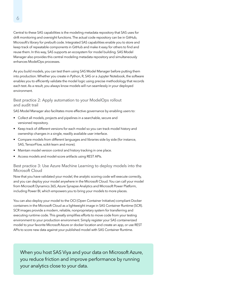<span id="page-7-0"></span>Central to these SAS capabilities is the modeling metadata repository that SAS uses for drift monitoring and oversight functions. The actual code repository can be in GitHub, Microsoft's library for prebuilt code. Integrated SAS capabilities enable you to store and keep track of repeatable components in GitHub and make it easy for others to find and reuse them. In this way, SAS supports an ecosystem for model building. SAS Model Manager also provides this central modeling metadata repository and simultaneously enhances ModelOps processes.

As you build models, you can test them using SAS Model Manager before putting them into production. Whether you create in Python, R, SAS or a Jupyter Notebook, the software enables you to efficiently validate the model logic using precise methodology that records each test. As a result, you always know models will run seamlessly in your deployed environment.

Best practice 2: Apply automation to your ModelOps rollout and audit trail

SAS Model Manager also facilitates more effective governance by enabling users to:

- Collect all models, projects and pipelines in a searchable, secure and versioned repository.
- Keep track of different versions for each model so you can track model history and ownership changes in a single, readily available user interface.
- Compare models from different languages and libraries side by side (for instance, SAS, TensorFlow, scikit-learn and more).
- Maintain model version control and history tracking in one place.
- Access models and model-score artifacts using REST APIs.

#### Best practice 3: Use Azure Machine Learning to deploy models into the Microsoft Cloud

Now that you have validated your model, the analytic scoring code will execute correctly, and you can deploy your model anywhere in the Microsoft Cloud. You can call your model from Microsoft Dynamics 365, Azure Synapse Analytics and Microsoft Power Platform, including Power BI, which empowers you to bring your models to more places.

You can also deploy your model to the OCI (Open Container Initiative) compliant Docker containers in the Microsoft Cloud as a lightweight image in SAS Container Runtime (SCR). SCR images provide a modern, reliable, nonproprietary system for transferring and executing runtime code. This greatly simplifies efforts to move code from your testing environment to your production environment. Simply register your SAS containerized model to your favorite Microsoft Azure or docker location and create an app, or use REST APIs to score new data against your published model with SAS Container Runtime.

When you host SAS Viya and your data on Microsoft Azure, you reduce friction and improve performance by running your analytics close to your data.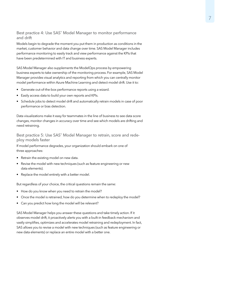<span id="page-8-0"></span>Best practice 4: Use SAS<sup>®</sup> Model Manager to monitor performance and drift

Models begin to degrade the moment you put them in production as conditions in the market, customer behavior and data change over time. SAS Model Manager includes performance monitoring to easily track and view performance against the KPIs that have been predetermined with IT and business experts.

SAS Model Manager also supplements the ModelOps process by empowering business experts to take ownership of the monitoring process. For example, SAS Model Manager provides visual analytics and reporting from which you can centrally monitor model performance within Azure Machine Learning and detect model drift. Use it to:

- Generate out-of-the-box performance reports using a wizard.
- Easily access data to build your own reports and KPIs.
- Schedule jobs to detect model drift and automatically retrain models in case of poor performance or bias detection.

Data visualizations make it easy for teammates in the line of business to see data score changes, monitor changes in accuracy over time and see which models are drifting and need retraining.

Best practice 5: Use SAS<sup>®</sup> Model Manager to retrain, score and redeploy models faster

If model performance degrades, your organization should embark on one of three approaches:

- Retrain the existing model on new data.
- Revise the model with new techniques (such as feature engineering or new data elements).
- Replace the model entirely with a better model.

But regardless of your choice, the critical questions remain the same:

- How do you know when you need to retrain the model?
- Once the model is retrained, how do you determine when to redeploy the model?
- Can you predict how long the model will be relevant?

SAS Model Manager helps you answer these questions and take timely action. If it observes model drift, it proactively alerts you with a built-in feedback mechanism and vastly simplifies, optimizes and accelerates model retraining and redeployment. In fact, SAS allows you to revise a model with new techniques (such as feature engineering or new data elements) or replace an entire model with a better one.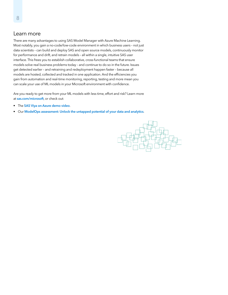### <span id="page-9-0"></span>Learn more

There are many advantages to using SAS Model Manager with Azure Machine Learning. Most notably, you gain a no-code/low-code environment in which business users – not just data scientists – can build and deploy SAS and open source models, continuously monitor for performance and drift, and retrain models – all within a single, intuitive SAS user interface. This frees you to establish collaborative, cross-functional teams that ensure models solve real business problems today – and continue to do so in the future. Issues get detected earlier – and retraining and redeployment happen faster – because all models are hosted, collected and tracked in one application. And the efficiencies you gain from automation and real-time monitoring, reporting, testing and more mean you can scale your use of ML models in your Microsoft environment with confidence.

Are you ready to get more from your ML models with less time, effort and risk? Learn more at [sas.com/microsoft](https://www.sas.com/microsoft), or check out:

- The [SAS Viya on Azure demo video](https://www.sas.com/en_us/offers/21q3/viya-on-azure-demo-video-zarmada.html).
- Our [ModelOps assessment: Unlock the untapped potential of your data and analytics](https://www.sas.com/sas/offers/20/unlock-the-untapped-potential-of-your-data-and-analytics.html?).